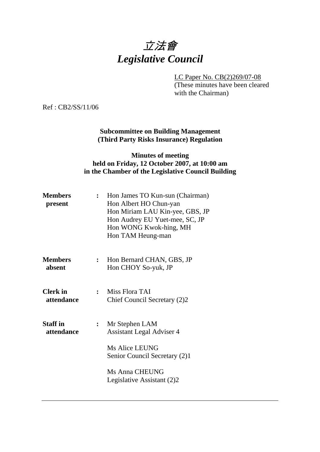# 立法會 *Legislative Council*

LC Paper No. CB(2)269/07-08

(These minutes have been cleared with the Chairman)

Ref : CB2/SS/11/06

**Subcommittee on Building Management (Third Party Risks Insurance) Regulation** 

# **Minutes of meeting held on Friday, 12 October 2007, at 10:00 am in the Chamber of the Legislative Council Building**

| <b>Members</b><br>present     | $\ddot{\cdot}$ | Hon James TO Kun-sun (Chairman)<br>Hon Albert HO Chun-yan<br>Hon Miriam LAU Kin-yee, GBS, JP<br>Hon Audrey EU Yuet-mee, SC, JP<br>Hon WONG Kwok-hing, MH<br>Hon TAM Heung-man |  |
|-------------------------------|----------------|-------------------------------------------------------------------------------------------------------------------------------------------------------------------------------|--|
| <b>Members</b><br>absent      | $\ddot{\cdot}$ | Hon Bernard CHAN, GBS, JP<br>Hon CHOY So-yuk, JP                                                                                                                              |  |
| <b>Clerk</b> in<br>attendance | $\mathbf{r}$   | Miss Flora TAI<br>Chief Council Secretary (2)2                                                                                                                                |  |
| <b>Staff in</b><br>attendance | $\ddot{\cdot}$ | Mr Stephen LAM<br><b>Assistant Legal Adviser 4</b>                                                                                                                            |  |
|                               |                | Ms Alice LEUNG<br>Senior Council Secretary (2)1                                                                                                                               |  |
|                               |                | Ms Anna CHEUNG<br>Legislative Assistant (2)2                                                                                                                                  |  |
|                               |                |                                                                                                                                                                               |  |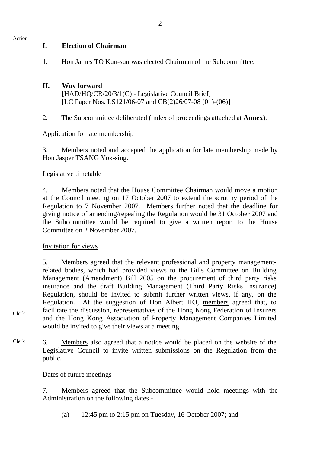#### Action

Clerk

1. Hon James TO Kun-sun was elected Chairman of the Subcommittee.

### **II. Way forward**  [HAD/HQ/CR/20/3/1(C) - Legislative Council Brief] [LC Paper Nos. LS121/06-07 and CB(2)26/07-08 (01)-(06)]

2. The Subcommittee deliberated (index of proceedings attached at **Annex**).

### Application for late membership

3. Members noted and accepted the application for late membership made by Hon Jasper TSANG Yok-sing.

### Legislative timetable

4. Members noted that the House Committee Chairman would move a motion at the Council meeting on 17 October 2007 to extend the scrutiny period of the Regulation to 7 November 2007. Members further noted that the deadline for giving notice of amending/repealing the Regulation would be 31 October 2007 and the Subcommittee would be required to give a written report to the House Committee on 2 November 2007.

### Invitation for views

5. Members agreed that the relevant professional and property managementrelated bodies, which had provided views to the Bills Committee on Building Management (Amendment) Bill 2005 on the procurement of third party risks insurance and the draft Building Management (Third Party Risks Insurance) Regulation, should be invited to submit further written views, if any, on the Regulation. At the suggestion of Hon Albert HO, members agreed that, to facilitate the discussion, representatives of the Hong Kong Federation of Insurers and the Hong Kong Association of Property Management Companies Limited would be invited to give their views at a meeting.

Clerk 6. Members also agreed that a notice would be placed on the website of the Legislative Council to invite written submissions on the Regulation from the public.

### Dates of future meetings

7. Members agreed that the Subcommittee would hold meetings with the Administration on the following dates -

(a) 12:45 pm to 2:15 pm on Tuesday, 16 October 2007; and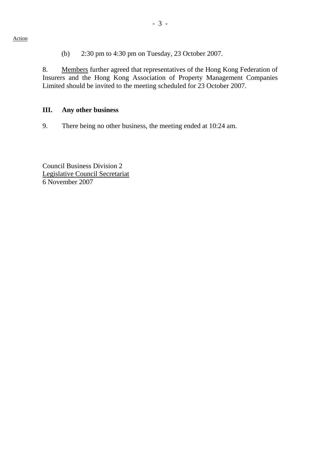(b) 2:30 pm to 4:30 pm on Tuesday, 23 October 2007.

8. Members further agreed that representatives of the Hong Kong Federation of Insurers and the Hong Kong Association of Property Management Companies Limited should be invited to the meeting scheduled for 23 October 2007.

#### **III. Any other business**

9. There being no other business, the meeting ended at 10:24 am.

Council Business Division 2 Legislative Council Secretariat 6 November 2007